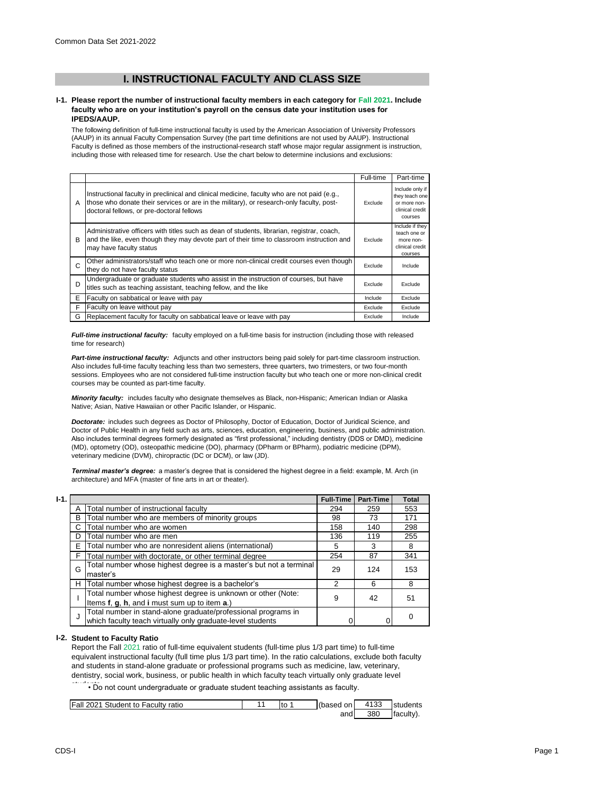# **I. INSTRUCTIONAL FACULTY AND CLASS SIZE**

### **I-1. Please report the number of instructional faculty members in each category for Fall 2021. Include faculty who are on your institution's payroll on the census date your institution uses for IPEDS/AAUP.**

The following definition of full-time instructional faculty is used by the American Association of University Professors (AAUP) in its annual Faculty Compensation Survey (the part time definitions are not used by AAUP). Instructional Faculty is defined as those members of the instructional-research staff whose major regular assignment is instruction, including those with released time for research. Use the chart below to determine inclusions and exclusions:

|   |                                                                                                                                                                                                                                      | Full-time | Part-time                                                                       |
|---|--------------------------------------------------------------------------------------------------------------------------------------------------------------------------------------------------------------------------------------|-----------|---------------------------------------------------------------------------------|
| A | Instructional faculty in preclinical and clinical medicine, faculty who are not paid (e.g.,<br>those who donate their services or are in the military), or research-only faculty, post-<br>doctoral fellows, or pre-doctoral fellows | Exclude   | Include only if<br>they teach one<br>or more non-<br>clinical credit<br>courses |
| в | Administrative officers with titles such as dean of students, librarian, registrar, coach,<br>and the like, even though they may devote part of their time to classroom instruction and<br>may have faculty status                   |           | Include if they<br>teach one or<br>more non-<br>clinical credit<br>courses      |
| C | Other administrators/staff who teach one or more non-clinical credit courses even though<br>they do not have faculty status                                                                                                          | Exclude   | Include                                                                         |
| D | Undergraduate or graduate students who assist in the instruction of courses, but have<br>titles such as teaching assistant, teaching fellow, and the like                                                                            | Exclude   | Exclude                                                                         |
| Е | Faculty on sabbatical or leave with pay                                                                                                                                                                                              | Include   | Exclude                                                                         |
| F | Faculty on leave without pay                                                                                                                                                                                                         | Exclude   | Exclude                                                                         |
| G | Replacement faculty for faculty on sabbatical leave or leave with pay                                                                                                                                                                | Exclude   | Include                                                                         |

*Full-time instructional faculty:* faculty employed on a full-time basis for instruction (including those with released time for research)

*Part-time instructional faculty:* Adjuncts and other instructors being paid solely for part-time classroom instruction. Also includes full-time faculty teaching less than two semesters, three quarters, two trimesters, or two four-month sessions. Employees who are not considered full-time instruction faculty but who teach one or more non-clinical credit courses may be counted as part-time faculty.

*Minority faculty:* includes faculty who designate themselves as Black, non-Hispanic; American Indian or Alaska Native; Asian, Native Hawaiian or other Pacific Islander, or Hispanic.

*Doctorate:* includes such degrees as Doctor of Philosophy, Doctor of Education, Doctor of Juridical Science, and Doctor of Public Health in any field such as arts, sciences, education, engineering, business, and public administration. Also includes terminal degrees formerly designated as "first professional," including dentistry (DDS or DMD), medicine (MD), optometry (OD), osteopathic medicine (DO), pharmacy (DPharm or BPharm), podiatric medicine (DPM), veterinary medicine (DVM), chiropractic (DC or DCM), or law (JD).

*Terminal master's degree:* a master's degree that is considered the highest degree in a field: example, M. Arch (in architecture) and MFA (master of fine arts in art or theater).

| $I-1.$ |   |                                                                                                                             | <b>Full-Time</b> | Part-Time | Total |
|--------|---|-----------------------------------------------------------------------------------------------------------------------------|------------------|-----------|-------|
|        | A | Total number of instructional faculty                                                                                       | 294              | 259       | 553   |
|        | B | Total number who are members of minority groups                                                                             | 98               | 73        | 171   |
|        | С | Total number who are women                                                                                                  | 158              | 140       | 298   |
|        | D | Total number who are men                                                                                                    | 136              | 119       | 255   |
|        | E | Total number who are nonresident aliens (international)                                                                     | 5                | 3         | 8     |
|        | F | Total number with doctorate, or other terminal degree                                                                       | 254              | 87        | 341   |
|        | G | Total number whose highest degree is a master's but not a terminal<br>master's                                              | 29               | 124       | 153   |
|        | н | Total number whose highest degree is a bachelor's                                                                           | 2                | 6         | 8     |
|        |   | Total number whose highest degree is unknown or other (Note:<br>Items f, g, h, and i must sum up to item a.)                | 9                | 42        | 51    |
|        | J | Total number in stand-alone graduate/professional programs in<br>which faculty teach virtually only graduate-level students |                  |           | 0     |

## **I-2. Student to Faculty Ratio**

Report the Fall 2021 ratio of full-time equivalent students (full-time plus 1/3 part time) to full-time equivalent instructional faculty (full time plus 1/3 part time). In the ratio calculations, exclude both faculty and students in stand-alone graduate or professional programs such as medicine, law, veterinary, dentistry, social work, business, or public health in which faculty teach virtually only graduate level

• Do not count undergraduate or graduate student teaching assistants as faculty.

| <b>Fall 2021 Student to Faculty ratio</b> | to | (based on I | 4133 | <b>Istudents</b> |
|-------------------------------------------|----|-------------|------|------------------|
|                                           |    | and         | 380  | Ifaculty).       |